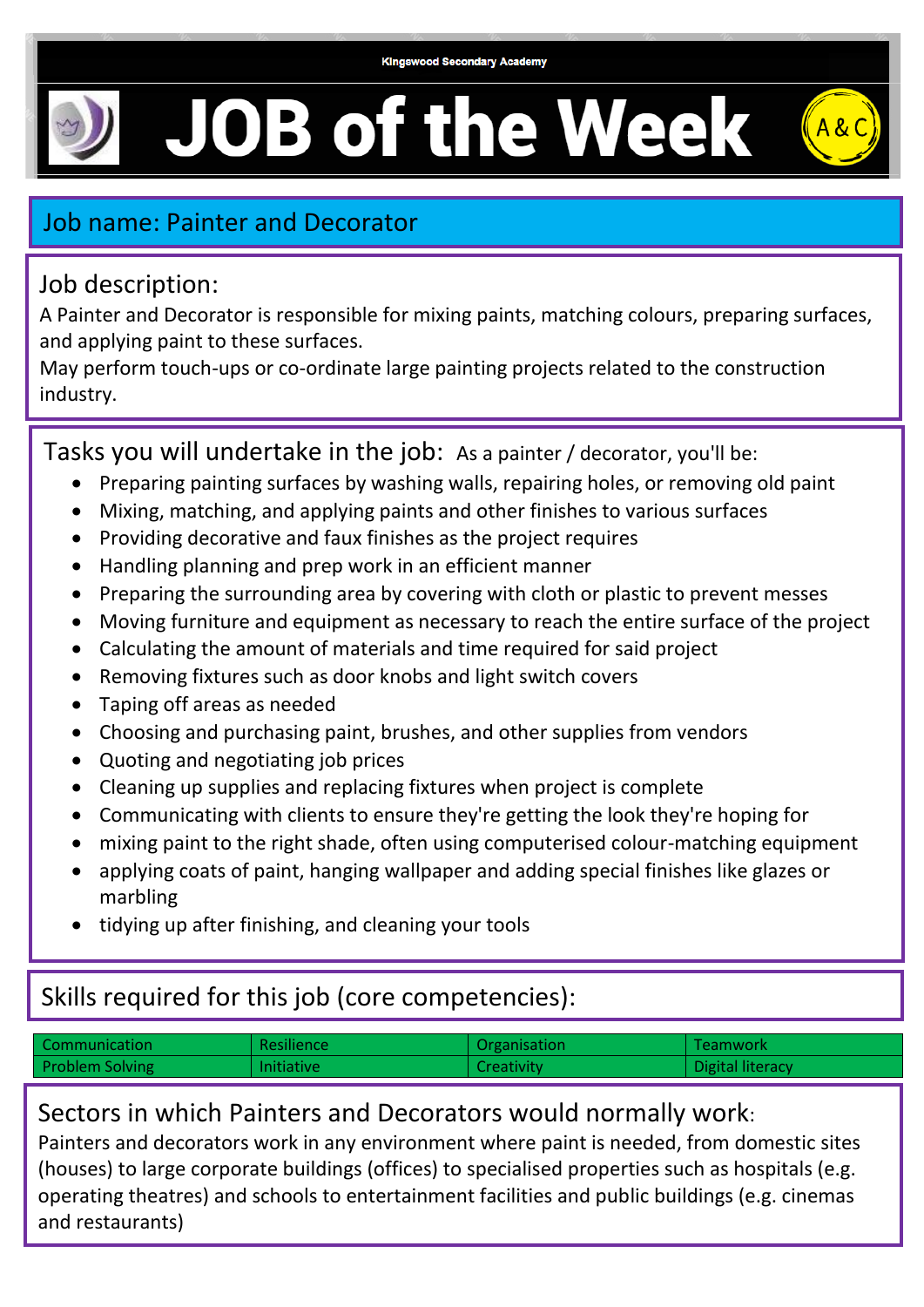# **JOB of the Week**



## Job name: Painter and Decorator

### Job description:

A Painter and Decorator is responsible for mixing paints, matching colours, preparing surfaces, and applying paint to these surfaces.

May perform touch-ups or co-ordinate large painting projects related to the construction industry.

Tasks you will undertake in the job: As a painter / decorator, you'll be:

- Preparing painting surfaces by washing walls, repairing holes, or removing old paint
- Mixing, matching, and applying paints and other finishes to various surfaces
- Providing decorative and faux finishes as the project requires
- Handling planning and prep work in an efficient manner
- Preparing the surrounding area by covering with cloth or plastic to prevent messes
- Moving furniture and equipment as necessary to reach the entire surface of the project
- Calculating the amount of materials and time required for said project
- Removing fixtures such as door knobs and light switch covers
- Taping off areas as needed
- Choosing and purchasing paint, brushes, and other supplies from vendors
- Quoting and negotiating job prices
- Cleaning up supplies and replacing fixtures when project is complete
- Communicating with clients to ensure they're getting the look they're hoping for
- mixing paint to the right shade, often using computerised colour-matching equipment
- applying coats of paint, hanging wallpaper and adding special finishes like glazes or marbling
- tidying up after finishing, and cleaning your tools

# Skills required for this job (core competencies):

| Communication          | <b>Resilience</b> | Organisation      | Teamwork         |
|------------------------|-------------------|-------------------|------------------|
| <b>Problem Solving</b> | <b>Initiative</b> | <b>Creativity</b> | Digital literacy |
|                        |                   |                   |                  |

## Sectors in which Painters and Decorators would normally work:

Painters and decorators work in any environment where paint is needed, from domestic sites (houses) to large corporate buildings (offices) to specialised properties such as hospitals (e.g. operating theatres) and schools to entertainment facilities and public buildings (e.g. cinemas and restaurants)